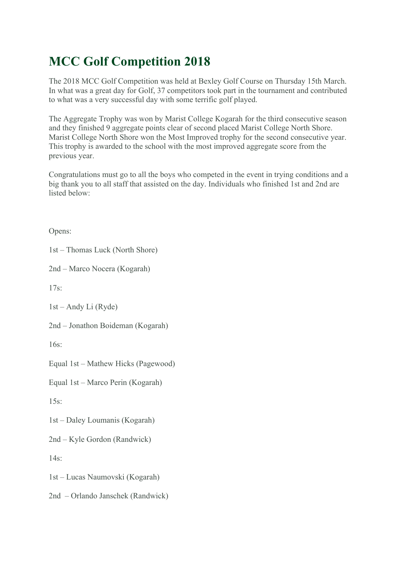## **MCC Golf Competition 2018**

The 2018 MCC Golf Competition was held at Bexley Golf Course on Thursday 15th March. In what was a great day for Golf, 37 competitors took part in the tournament and contributed to what was a very successful day with some terrific golf played.

The Aggregate Trophy was won by Marist College Kogarah for the third consecutive season and they finished 9 aggregate points clear of second placed Marist College North Shore. Marist College North Shore won the Most Improved trophy for the second consecutive year. This trophy is awarded to the school with the most improved aggregate score from the previous year.

Congratulations must go to all the boys who competed in the event in trying conditions and a big thank you to all staff that assisted on the day. Individuals who finished 1st and 2nd are listed below:

Opens:

1st – Thomas Luck (North Shore)

2nd – Marco Nocera (Kogarah)

17s:

1st – Andy Li (Ryde)

2nd – Jonathon Boideman (Kogarah)

 $16s$ 

Equal 1st – Mathew Hicks (Pagewood)

Equal 1st – Marco Perin (Kogarah)

 $15s$ 

1st – Daley Loumanis (Kogarah)

2nd – Kyle Gordon (Randwick)

 $14s$ 

1st – Lucas Naumovski (Kogarah)

2nd – Orlando Janschek (Randwick)